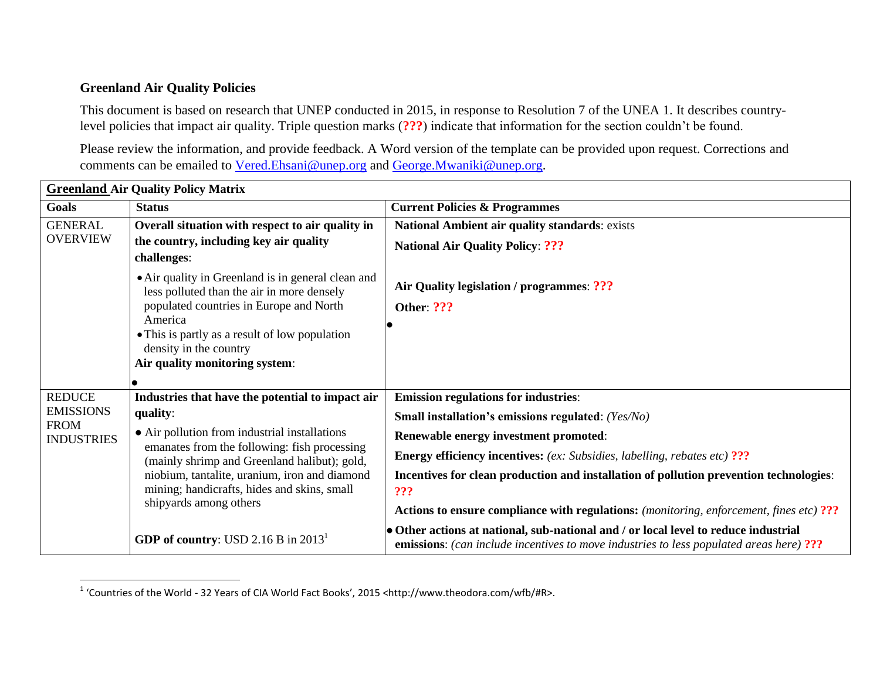## **Greenland Air Quality Policies**

 $\overline{\phantom{a}}$ 

This document is based on research that UNEP conducted in 2015, in response to Resolution 7 of the UNEA 1. It describes countrylevel policies that impact air quality. Triple question marks (**???**) indicate that information for the section couldn't be found.

Please review the information, and provide feedback. A Word version of the template can be provided upon request. Corrections and comments can be emailed to [Vered.Ehsani@unep.org](mailto:Vered.Ehsani@unep.org) and [George.Mwaniki@unep.org.](mailto:George.Mwaniki@unep.org)

| <b>Greenland Air Quality Policy Matrix</b>           |                                                                                                  |                                                                                                                                                                                       |
|------------------------------------------------------|--------------------------------------------------------------------------------------------------|---------------------------------------------------------------------------------------------------------------------------------------------------------------------------------------|
| Goals                                                | <b>Status</b>                                                                                    | <b>Current Policies &amp; Programmes</b>                                                                                                                                              |
| <b>GENERAL</b><br><b>OVERVIEW</b>                    | Overall situation with respect to air quality in                                                 | National Ambient air quality standards: exists                                                                                                                                        |
|                                                      | the country, including key air quality<br>challenges:                                            | <b>National Air Quality Policy: ???</b>                                                                                                                                               |
|                                                      | • Air quality in Greenland is in general clean and<br>less polluted than the air in more densely | Air Quality legislation / programmes: ???                                                                                                                                             |
|                                                      | populated countries in Europe and North<br>America                                               | <b>Other: ???</b>                                                                                                                                                                     |
|                                                      | • This is partly as a result of low population                                                   |                                                                                                                                                                                       |
|                                                      | density in the country                                                                           |                                                                                                                                                                                       |
|                                                      | Air quality monitoring system:                                                                   |                                                                                                                                                                                       |
|                                                      |                                                                                                  |                                                                                                                                                                                       |
| <b>REDUCE</b>                                        | Industries that have the potential to impact air                                                 | <b>Emission regulations for industries:</b>                                                                                                                                           |
| <b>EMISSIONS</b><br><b>FROM</b><br><b>INDUSTRIES</b> | quality:                                                                                         | Small installation's emissions regulated: (Yes/No)                                                                                                                                    |
|                                                      | • Air pollution from industrial installations<br>emanates from the following: fish processing    | Renewable energy investment promoted:                                                                                                                                                 |
|                                                      | (mainly shrimp and Greenland halibut); gold,                                                     | <b>Energy efficiency incentives:</b> (ex: Subsidies, labelling, rebates etc) ???                                                                                                      |
|                                                      | niobium, tantalite, uranium, iron and diamond                                                    | Incentives for clean production and installation of pollution prevention technologies:                                                                                                |
|                                                      | mining; handicrafts, hides and skins, small                                                      | ???                                                                                                                                                                                   |
|                                                      | shipyards among others                                                                           | <b>Actions to ensure compliance with regulations:</b> (monitoring, enforcement, fines etc) ???                                                                                        |
|                                                      | GDP of country: USD 2.16 B in 2013 <sup>1</sup>                                                  | • Other actions at national, sub-national and / or local level to reduce industrial<br><b>emissions:</b> (can include incentives to move industries to less populated areas here) ??? |

<sup>&</sup>lt;sup>1</sup> 'Countries of the World - 32 Years of CIA World Fact Books', 2015 <http://www.theodora.com/wfb/#R>.